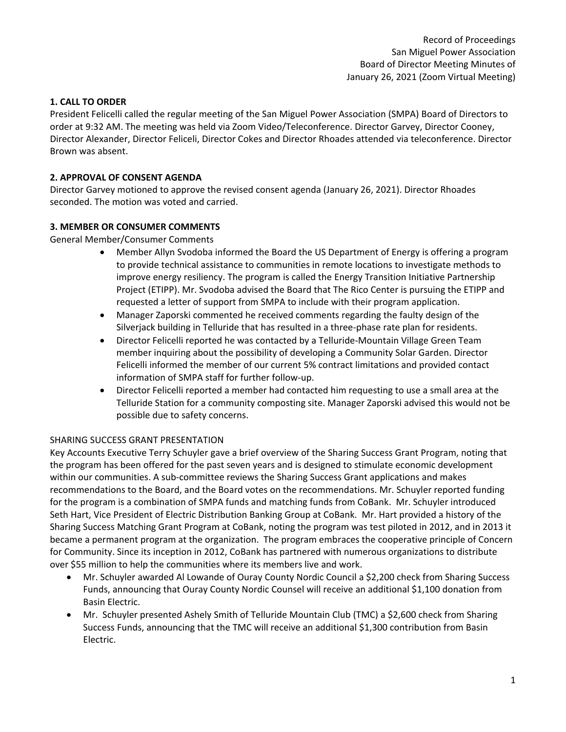#### **1. CALL TO ORDER**

President Felicelli called the regular meeting of the San Miguel Power Association (SMPA) Board of Directors to order at 9:32 AM. The meeting was held via Zoom Video/Teleconference. Director Garvey, Director Cooney, Director Alexander, Director Feliceli, Director Cokes and Director Rhoades attended via teleconference. Director Brown was absent.

# **2. APPROVAL OF CONSENT AGENDA**

Director Garvey motioned to approve the revised consent agenda (January 26, 2021). Director Rhoades seconded. The motion was voted and carried.

#### **3. MEMBER OR CONSUMER COMMENTS**

General Member/Consumer Comments

- Member Allyn Svodoba informed the Board the US Department of Energy is offering a program to provide technical assistance to communities in remote locations to investigate methods to improve energy resiliency. The program is called the Energy Transition Initiative Partnership Project (ETIPP). Mr. Svodoba advised the Board that The Rico Center is pursuing the ETIPP and requested a letter of support from SMPA to include with their program application.
- Manager Zaporski commented he received comments regarding the faulty design of the Silverjack building in Telluride that has resulted in a three-phase rate plan for residents.
- Director Felicelli reported he was contacted by a Telluride-Mountain Village Green Team member inquiring about the possibility of developing a Community Solar Garden. Director Felicelli informed the member of our current 5% contract limitations and provided contact information of SMPA staff for further follow-up.
- Director Felicelli reported a member had contacted him requesting to use a small area at the Telluride Station for a community composting site. Manager Zaporski advised this would not be possible due to safety concerns.

#### SHARING SUCCESS GRANT PRESENTATION

Key Accounts Executive Terry Schuyler gave a brief overview of the Sharing Success Grant Program, noting that the program has been offered for the past seven years and is designed to stimulate economic development within our communities. A sub-committee reviews the Sharing Success Grant applications and makes recommendations to the Board, and the Board votes on the recommendations. Mr. Schuyler reported funding for the program is a combination of SMPA funds and matching funds from CoBank. Mr. Schuyler introduced Seth Hart, Vice President of Electric Distribution Banking Group at CoBank. Mr. Hart provided a history of the Sharing Success Matching Grant Program at CoBank, noting the program was test piloted in 2012, and in 2013 it became a permanent program at the organization. The program embraces the cooperative principle of Concern for Community. Since its inception in 2012, CoBank has partnered with numerous organizations to distribute over \$55 million to help the communities where its members live and work.

- Mr. Schuyler awarded Al Lowande of Ouray County Nordic Council a \$2,200 check from Sharing Success Funds, announcing that Ouray County Nordic Counsel will receive an additional \$1,100 donation from Basin Electric.
- Mr. Schuyler presented Ashely Smith of Telluride Mountain Club (TMC) a \$2,600 check from Sharing Success Funds, announcing that the TMC will receive an additional \$1,300 contribution from Basin Electric.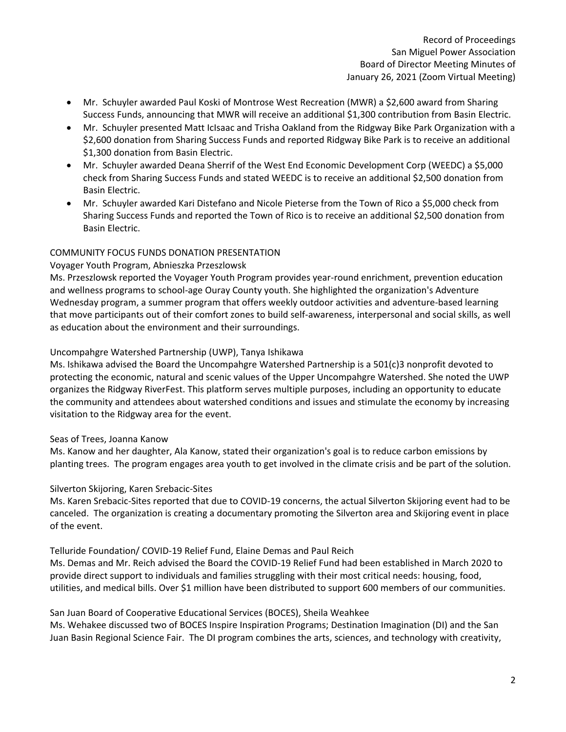- Mr. Schuyler awarded Paul Koski of Montrose West Recreation (MWR) a \$2,600 award from Sharing Success Funds, announcing that MWR will receive an additional \$1,300 contribution from Basin Electric.
- Mr. Schuyler presented Matt IcIsaac and Trisha Oakland from the Ridgway Bike Park Organization with a \$2,600 donation from Sharing Success Funds and reported Ridgway Bike Park is to receive an additional \$1,300 donation from Basin Electric.
- Mr. Schuyler awarded Deana Sherrif of the West End Economic Development Corp (WEEDC) a \$5,000 check from Sharing Success Funds and stated WEEDC is to receive an additional \$2,500 donation from Basin Electric.
- Mr. Schuyler awarded Kari Distefano and Nicole Pieterse from the Town of Rico a \$5,000 check from Sharing Success Funds and reported the Town of Rico is to receive an additional \$2,500 donation from Basin Electric.

# COMMUNITY FOCUS FUNDS DONATION PRESENTATION

# Voyager Youth Program, Abnieszka Przeszlowsk

Ms. Przeszlowsk reported the Voyager Youth Program provides year-round enrichment, prevention education and wellness programs to school-age Ouray County youth. She highlighted the organization's Adventure Wednesday program, a summer program that offers weekly outdoor activities and adventure-based learning that move participants out of their comfort zones to build self-awareness, interpersonal and social skills, as well as education about the environment and their surroundings.

# Uncompahgre Watershed Partnership (UWP), Tanya Ishikawa

Ms. Ishikawa advised the Board the Uncompahgre Watershed Partnership is a 501(c)3 nonprofit devoted to protecting the economic, natural and scenic values of the Upper Uncompahgre Watershed. She noted the UWP organizes the Ridgway RiverFest. This platform serves multiple purposes, including an opportunity to educate the community and attendees about watershed conditions and issues and stimulate the economy by increasing visitation to the Ridgway area for the event.

#### Seas of Trees, Joanna Kanow

Ms. Kanow and her daughter, Ala Kanow, stated their organization's goal is to reduce carbon emissions by planting trees. The program engages area youth to get involved in the climate crisis and be part of the solution.

#### Silverton Skijoring, Karen Srebacic-Sites

Ms. Karen Srebacic-Sites reported that due to COVID-19 concerns, the actual Silverton Skijoring event had to be canceled. The organization is creating a documentary promoting the Silverton area and Skijoring event in place of the event.

#### Telluride Foundation/ COVID-19 Relief Fund, Elaine Demas and Paul Reich

Ms. Demas and Mr. Reich advised the Board the COVID-19 Relief Fund had been established in March 2020 to provide direct support to individuals and families struggling with their most critical needs: housing, food, utilities, and medical bills. Over \$1 million have been distributed to support 600 members of our communities.

# San Juan Board of Cooperative Educational Services (BOCES), Sheila Weahkee

Ms. Wehakee discussed two of BOCES Inspire Inspiration Programs; Destination Imagination (DI) and the San Juan Basin Regional Science Fair. The DI program combines the arts, sciences, and technology with creativity,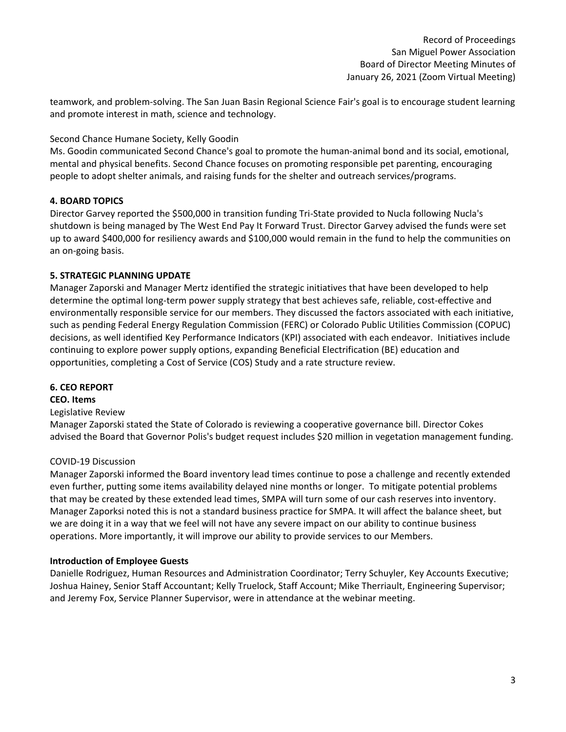teamwork, and problem-solving. The San Juan Basin Regional Science Fair's goal is to encourage student learning and promote interest in math, science and technology.

# Second Chance Humane Society, Kelly Goodin

Ms. Goodin communicated Second Chance's goal to promote the human-animal bond and its social, emotional, mental and physical benefits. Second Chance focuses on promoting responsible pet parenting, encouraging people to adopt shelter animals, and raising funds for the shelter and outreach services/programs.

# **4. BOARD TOPICS**

Director Garvey reported the \$500,000 in transition funding Tri-State provided to Nucla following Nucla's shutdown is being managed by The West End Pay It Forward Trust. Director Garvey advised the funds were set up to award \$400,000 for resiliency awards and \$100,000 would remain in the fund to help the communities on an on-going basis.

# **5. STRATEGIC PLANNING UPDATE**

Manager Zaporski and Manager Mertz identified the strategic initiatives that have been developed to help determine the optimal long-term power supply strategy that best achieves safe, reliable, cost-effective and environmentally responsible service for our members. They discussed the factors associated with each initiative, such as pending Federal Energy Regulation Commission (FERC) or Colorado Public Utilities Commission (COPUC) decisions, as well identified Key Performance Indicators (KPI) associated with each endeavor. Initiatives include continuing to explore power supply options, expanding Beneficial Electrification (BE) education and opportunities, completing a Cost of Service (COS) Study and a rate structure review.

#### **6. CEO REPORT**

#### **CEO. Items**

#### Legislative Review

Manager Zaporski stated the State of Colorado is reviewing a cooperative governance bill. Director Cokes advised the Board that Governor Polis's budget request includes \$20 million in vegetation management funding.

#### COVID-19 Discussion

Manager Zaporski informed the Board inventory lead times continue to pose a challenge and recently extended even further, putting some items availability delayed nine months or longer. To mitigate potential problems that may be created by these extended lead times, SMPA will turn some of our cash reserves into inventory. Manager Zaporksi noted this is not a standard business practice for SMPA. It will affect the balance sheet, but we are doing it in a way that we feel will not have any severe impact on our ability to continue business operations. More importantly, it will improve our ability to provide services to our Members.

#### **Introduction of Employee Guests**

Danielle Rodriguez, Human Resources and Administration Coordinator; Terry Schuyler, Key Accounts Executive; Joshua Hainey, Senior Staff Accountant; Kelly Truelock, Staff Account; Mike Therriault, Engineering Supervisor; and Jeremy Fox, Service Planner Supervisor, were in attendance at the webinar meeting.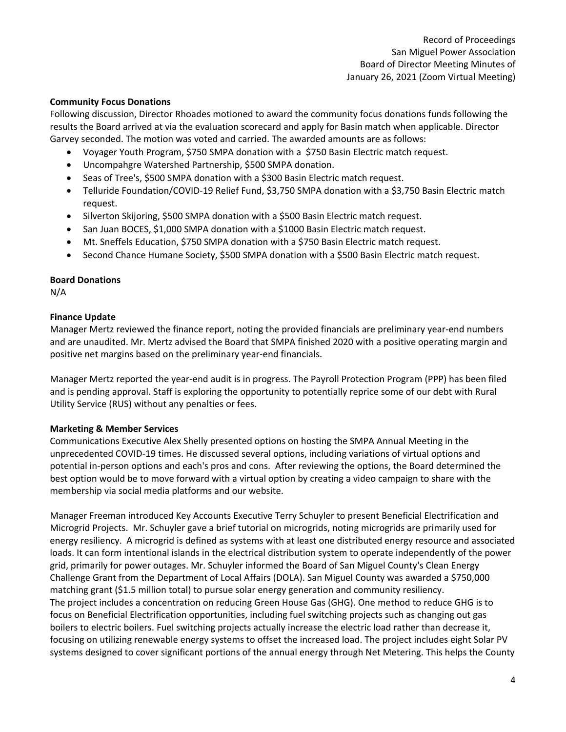#### **Community Focus Donations**

Following discussion, Director Rhoades motioned to award the community focus donations funds following the results the Board arrived at via the evaluation scorecard and apply for Basin match when applicable. Director Garvey seconded. The motion was voted and carried. The awarded amounts are as follows:

- Voyager Youth Program, \$750 SMPA donation with a \$750 Basin Electric match request.
- Uncompahgre Watershed Partnership, \$500 SMPA donation.
- Seas of Tree's, \$500 SMPA donation with a \$300 Basin Electric match request.
- Telluride Foundation/COVID-19 Relief Fund, \$3,750 SMPA donation with a \$3,750 Basin Electric match request.
- Silverton Skijoring, \$500 SMPA donation with a \$500 Basin Electric match request.
- San Juan BOCES, \$1,000 SMPA donation with a \$1000 Basin Electric match request.
- Mt. Sneffels Education, \$750 SMPA donation with a \$750 Basin Electric match request.
- Second Chance Humane Society, \$500 SMPA donation with a \$500 Basin Electric match request.

#### **Board Donations**

N/A

#### **Finance Update**

Manager Mertz reviewed the finance report, noting the provided financials are preliminary year-end numbers and are unaudited. Mr. Mertz advised the Board that SMPA finished 2020 with a positive operating margin and positive net margins based on the preliminary year-end financials.

Manager Mertz reported the year-end audit is in progress. The Payroll Protection Program (PPP) has been filed and is pending approval. Staff is exploring the opportunity to potentially reprice some of our debt with Rural Utility Service (RUS) without any penalties or fees.

#### **Marketing & Member Services**

Communications Executive Alex Shelly presented options on hosting the SMPA Annual Meeting in the unprecedented COVID-19 times. He discussed several options, including variations of virtual options and potential in-person options and each's pros and cons. After reviewing the options, the Board determined the best option would be to move forward with a virtual option by creating a video campaign to share with the membership via social media platforms and our website.

Manager Freeman introduced Key Accounts Executive Terry Schuyler to present Beneficial Electrification and Microgrid Projects. Mr. Schuyler gave a brief tutorial on microgrids, noting microgrids are primarily used for energy resiliency. A microgrid is defined as systems with at least one distributed energy resource and associated loads. It can form intentional islands in the electrical distribution system to operate independently of the power grid, primarily for power outages. Mr. Schuyler informed the Board of San Miguel County's Clean Energy Challenge Grant from the Department of Local Affairs (DOLA). San Miguel County was awarded a \$750,000 matching grant (\$1.5 million total) to pursue solar energy generation and community resiliency. The project includes a concentration on reducing Green House Gas (GHG). One method to reduce GHG is to focus on Beneficial Electrification opportunities, including fuel switching projects such as changing out gas boilers to electric boilers. Fuel switching projects actually increase the electric load rather than decrease it, focusing on utilizing renewable energy systems to offset the increased load. The project includes eight Solar PV systems designed to cover significant portions of the annual energy through Net Metering. This helps the County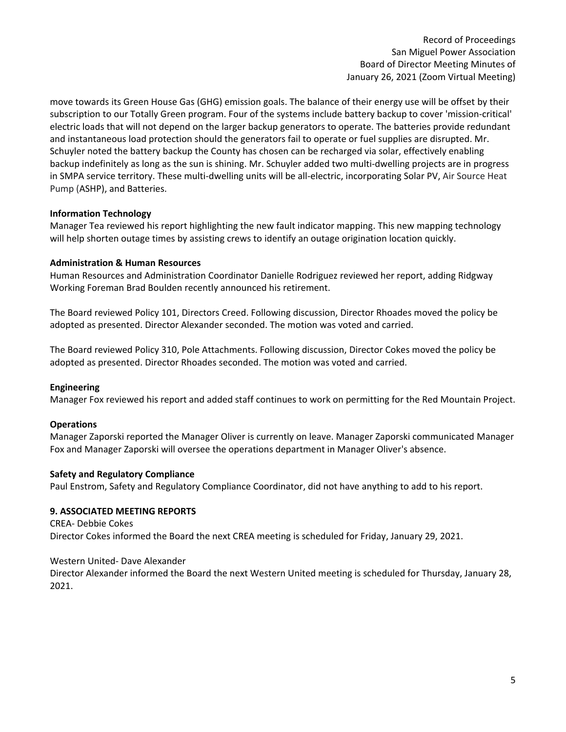move towards its Green House Gas (GHG) emission goals. The balance of their energy use will be offset by their subscription to our Totally Green program. Four of the systems include battery backup to cover 'mission-critical' electric loads that will not depend on the larger backup generators to operate. The batteries provide redundant and instantaneous load protection should the generators fail to operate or fuel supplies are disrupted. Mr. Schuyler noted the battery backup the County has chosen can be recharged via solar, effectively enabling backup indefinitely as long as the sun is shining. Mr. Schuyler added two multi-dwelling projects are in progress in SMPA service territory. These multi-dwelling units will be all-electric, incorporating Solar PV, Air Source Heat Pump (ASHP), and Batteries.

#### **Information Technology**

Manager Tea reviewed his report highlighting the new fault indicator mapping. This new mapping technology will help shorten outage times by assisting crews to identify an outage origination location quickly.

#### **Administration & Human Resources**

Human Resources and Administration Coordinator Danielle Rodriguez reviewed her report, adding Ridgway Working Foreman Brad Boulden recently announced his retirement.

The Board reviewed Policy 101, Directors Creed. Following discussion, Director Rhoades moved the policy be adopted as presented. Director Alexander seconded. The motion was voted and carried.

The Board reviewed Policy 310, Pole Attachments. Following discussion, Director Cokes moved the policy be adopted as presented. Director Rhoades seconded. The motion was voted and carried.

# **Engineering**

Manager Fox reviewed his report and added staff continues to work on permitting for the Red Mountain Project.

# **Operations**

Manager Zaporski reported the Manager Oliver is currently on leave. Manager Zaporski communicated Manager Fox and Manager Zaporski will oversee the operations department in Manager Oliver's absence.

#### **Safety and Regulatory Compliance**

Paul Enstrom, Safety and Regulatory Compliance Coordinator, did not have anything to add to his report.

# **9. ASSOCIATED MEETING REPORTS**

CREA- Debbie Cokes Director Cokes informed the Board the next CREA meeting is scheduled for Friday, January 29, 2021.

#### Western United- Dave Alexander

Director Alexander informed the Board the next Western United meeting is scheduled for Thursday, January 28, 2021.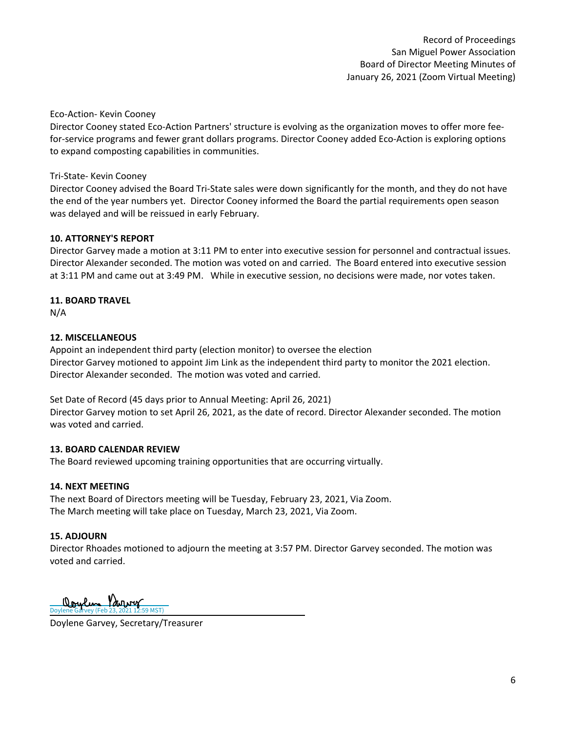#### Eco-Action- Kevin Cooney

Director Cooney stated Eco-Action Partners' structure is evolving as the organization moves to offer more feefor-service programs and fewer grant dollars programs. Director Cooney added Eco-Action is exploring options to expand composting capabilities in communities.

#### Tri-State- Kevin Cooney

Director Cooney advised the Board Tri-State sales were down significantly for the month, and they do not have the end of the year numbers yet. Director Cooney informed the Board the partial requirements open season was delayed and will be reissued in early February.

#### **10. ATTORNEY'S REPORT**

Director Garvey made a motion at 3:11 PM to enter into executive session for personnel and contractual issues. Director Alexander seconded. The motion was voted on and carried. The Board entered into executive session at 3:11 PM and came out at 3:49 PM. While in executive session, no decisions were made, nor votes taken.

#### **11. BOARD TRAVEL**

N/A

#### **12. MISCELLANEOUS**

Appoint an independent third party (election monitor) to oversee the election Director Garvey motioned to appoint Jim Link as the independent third party to monitor the 2021 election. Director Alexander seconded. The motion was voted and carried.

Set Date of Record (45 days prior to Annual Meeting: April 26, 2021) Director Garvey motion to set April 26, 2021, as the date of record. Director Alexander seconded. The motion was voted and carried.

#### **13. BOARD CALENDAR REVIEW**

The Board reviewed upcoming training opportunities that are occurring virtually.

#### **14. NEXT MEETING**

The next Board of Directors meeting will be Tuesday, February 23, 2021, Via Zoom. The March meeting will take place on Tuesday, March 23, 2021, Via Zoom.

#### **15. ADJOURN**

Director Rhoades motioned to adjourn the meeting at 3:57 PM. Director Garvey seconded. The motion was voted and carried.

L [Doylene Garvey \(Feb 23, 2021 12:59 MST\)](https://na2.documents.adobe.com/verifier?tx=CBJCHBCAABAADu7o1VB0zJGPRGYoVf4ibLxRGEKP0pwZ)

Doylene Garvey, Secretary/Treasurer